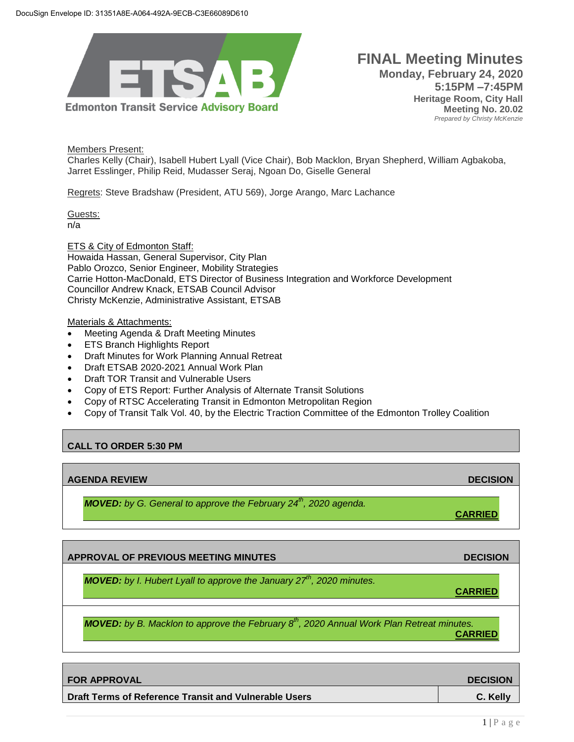

## **FINAL Meeting Minutes Monday, February 24, 2020 5:15PM –7:45PM Heritage Room, City Hall Meeting No. 20.02** *Prepared by Christy McKenzie*

Members Present:

Charles Kelly (Chair), Isabell Hubert Lyall (Vice Chair), Bob Macklon, Bryan Shepherd, William Agbakoba, Jarret Esslinger, Philip Reid, Mudasser Seraj, Ngoan Do, Giselle General

Regrets: Steve Bradshaw (President, ATU 569), Jorge Arango, Marc Lachance

Guests: n/a

ETS & City of Edmonton Staff: Howaida Hassan, General Supervisor, City Plan Pablo Orozco, Senior Engineer, Mobility Strategies Carrie Hotton-MacDonald, ETS Director of Business Integration and Workforce Development Councillor Andrew Knack, ETSAB Council Advisor Christy McKenzie, Administrative Assistant, ETSAB

Materials & Attachments:

- Meeting Agenda & Draft Meeting Minutes
- ETS Branch Highlights Report
- Draft Minutes for Work Planning Annual Retreat
- Draft ETSAB 2020-2021 Annual Work Plan
- Draft TOR Transit and Vulnerable Users
- Copy of ETS Report: Further Analysis of Alternate Transit Solutions
- Copy of RTSC Accelerating Transit in Edmonton Metropolitan Region
- Copy of Transit Talk Vol. 40, by the Electric Traction Committee of the Edmonton Trolley Coalition

# **CALL TO ORDER 5:30 PM**

### **AGENDA REVIEW DECISION**

*MOVED: by G. General to approve the February 24th , 2020 agenda.* 

**APPROVAL OF PREVIOUS MEETING MINUTES DECISION** 

**CARRIED**

**CARRIED**

*MOVED: by I. Hubert Lyall to approve the January 27th, 2020 minutes.*

*MOVED: by B. Macklon to approve the February 8th, 2020 Annual Work Plan Retreat minutes.* **CARRIED**

| I FOR APPROVAL                                        | <b>DECISION</b> |
|-------------------------------------------------------|-----------------|
| Draft Terms of Reference Transit and Vulnerable Users | C. Kelly        |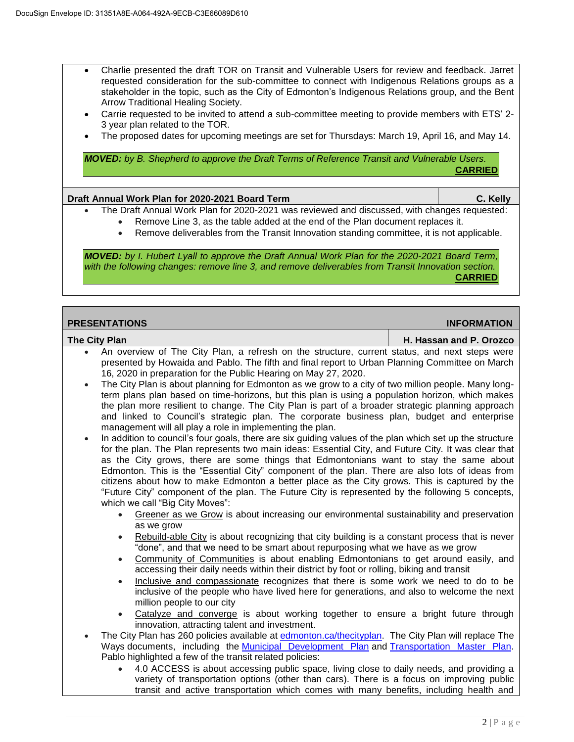- Charlie presented the draft TOR on Transit and Vulnerable Users for review and feedback. Jarret requested consideration for the sub-committee to connect with Indigenous Relations groups as a stakeholder in the topic, such as the City of Edmonton's Indigenous Relations group, and the Bent Arrow Traditional Healing Society.
- Carrie requested to be invited to attend a sub-committee meeting to provide members with ETS' 2- 3 year plan related to the TOR.
- The proposed dates for upcoming meetings are set for Thursdays: March 19, April 16, and May 14.

*MOVED: by B. Shepherd to approve the Draft Terms of Reference Transit and Vulnerable Users.* **CARRIED**

#### **Draft Annual Work Plan for 2020-2021 Board Term C. Kelly**

- The Draft Annual Work Plan for 2020-2021 was reviewed and discussed, with changes requested:
	- Remove Line 3, as the table added at the end of the Plan document replaces it.
	- Remove deliverables from the Transit Innovation standing committee, it is not applicable.

*MOVED: by I. Hubert Lyall to approve the Draft Annual Work Plan for the 2020-2021 Board Term, with the following changes: remove line 3, and remove deliverables from Transit Innovation section.* **CARRIED**

| <b>PRESENTATIONS</b> | <b>INFORMATION</b>      |
|----------------------|-------------------------|
| The City Plan        | H. Hassan and P. Orozco |

- An overview of The City Plan, a refresh on the structure, current status, and next steps were presented by Howaida and Pablo. The fifth and final report to Urban Planning Committee on March 16, 2020 in preparation for the Public Hearing on May 27, 2020.
- The City Plan is about planning for Edmonton as we grow to a city of two million people. Many longterm plans plan based on time-horizons, but this plan is using a population horizon, which makes the plan more resilient to change. The City Plan is part of a broader strategic planning approach and linked to Council's strategic plan. The corporate business plan, budget and enterprise management will all play a role in implementing the plan.
- In addition to council's four goals, there are six guiding values of the plan which set up the structure for the plan. The Plan represents two main ideas: Essential City, and Future City. It was clear that as the City grows, there are some things that Edmontonians want to stay the same about Edmonton. This is the "Essential City" component of the plan. There are also lots of ideas from citizens about how to make Edmonton a better place as the City grows. This is captured by the "Future City" component of the plan. The Future City is represented by the following 5 concepts, which we call "Big City Moves":
	- Greener as we Grow is about increasing our environmental sustainability and preservation as we grow
	- Rebuild-able City is about recognizing that city building is a constant process that is never "done", and that we need to be smart about repurposing what we have as we grow
	- Community of Communities is about enabling Edmontonians to get around easily, and accessing their daily needs within their district by foot or rolling, biking and transit
	- Inclusive and compassionate recognizes that there is some work we need to do to be inclusive of the people who have lived here for generations, and also to welcome the next million people to our city
	- Catalyze and converge is about working together to ensure a bright future through innovation, attracting talent and investment.
- The City Plan has 260 policies available at [edmonton.ca/thecityplan.](https://www.edmonton.ca/city_government/city_vision_and_strategic_plan/city-plan.aspx?utm_source=virtualaddress&utm_campaign=TheCityPlan) The City Plan will replace The Ways documents, including the [Municipal Development Plan](https://www.edmonton.ca/city_government/urban_planning_and_design/municipal-development-plan-mdp.aspx) and [Transportation Master Plan.](https://www.edmonton.ca/city_government/city_vision_and_strategic_plan/the-way-we-move.aspx) Pablo highlighted a few of the transit related policies:
	- 4.0 ACCESS is about accessing public space, living close to daily needs, and providing a variety of transportation options (other than cars). There is a focus on improving public transit and active transportation which comes with many benefits, including health and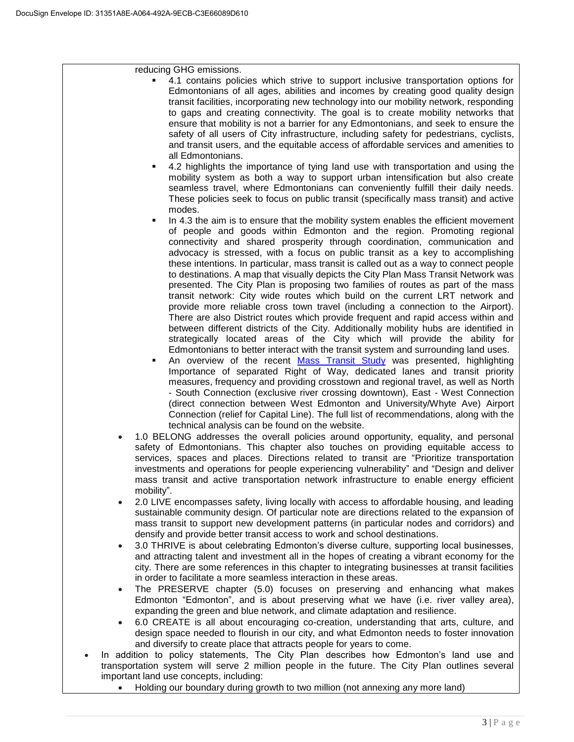reducing GHG emissions.

- 4.1 contains policies which strive to support inclusive transportation options for Edmontonians of all ages, abilities and incomes by creating good quality design transit facilities, incorporating new technology into our mobility network, responding to gaps and creating connectivity. The goal is to create mobility networks that ensure that mobility is not a barrier for any Edmontonians, and seek to ensure the safety of all users of City infrastructure, including safety for pedestrians, cyclists, and transit users, and the equitable access of affordable services and amenities to all Edmontonians.
- 4.2 highlights the importance of tying land use with transportation and using the mobility system as both a way to support urban intensification but also create seamless travel, where Edmontonians can conveniently fulfill their daily needs. These policies seek to focus on public transit (specifically mass transit) and active modes.
- In 4.3 the aim is to ensure that the mobility system enables the efficient movement of people and goods within Edmonton and the region. Promoting regional connectivity and shared prosperity through coordination, communication and advocacy is stressed, with a focus on public transit as a key to accomplishing these intentions. In particular, mass transit is called out as a way to connect people to destinations. A map that visually depicts the City Plan Mass Transit Network was presented. The City Plan is proposing two families of routes as part of the mass transit network: City wide routes which build on the current LRT network and provide more reliable cross town travel (including a connection to the Airport). There are also District routes which provide frequent and rapid access within and between different districts of the City. Additionally mobility hubs are identified in strategically located areas of the City which will provide the ability for Edmontonians to better interact with the transit system and surrounding land uses.
- An overview of the recent [Mass Transit Study](https://www.edmonton.ca/city_government/documents/PDF/CityPlan_Edmonton_Mass_Transit_Strategy.pdf) was presented, highlighting Importance of separated Right of Way, dedicated lanes and transit priority measures, frequency and providing crosstown and regional travel, as well as North - South Connection (exclusive river crossing downtown), East - West Connection (direct connection between West Edmonton and University/Whyte Ave) Airport Connection (relief for Capital Line). The full list of recommendations, along with the technical analysis can be found on the website.
- 1.0 BELONG addresses the overall policies around opportunity, equality, and personal safety of Edmontonians. This chapter also touches on providing equitable access to services, spaces and places. Directions related to transit are "Prioritize transportation investments and operations for people experiencing vulnerability" and "Design and deliver mass transit and active transportation network infrastructure to enable energy efficient mobility".
- 2.0 LIVE encompasses safety, living locally with access to affordable housing, and leading sustainable community design. Of particular note are directions related to the expansion of mass transit to support new development patterns (in particular nodes and corridors) and densify and provide better transit access to work and school destinations.
- 3.0 THRIVE is about celebrating Edmonton's diverse culture, supporting local businesses, and attracting talent and investment all in the hopes of creating a vibrant economy for the city. There are some references in this chapter to integrating businesses at transit facilities in order to facilitate a more seamless interaction in these areas.
- The PRESERVE chapter (5.0) focuses on preserving and enhancing what makes Edmonton "Edmonton", and is about preserving what we have (i.e. river valley area), expanding the green and blue network, and climate adaptation and resilience.
- 6.0 CREATE is all about encouraging co-creation, understanding that arts, culture, and design space needed to flourish in our city, and what Edmonton needs to foster innovation and diversify to create place that attracts people for years to come.
- In addition to policy statements, The City Plan describes how Edmonton's land use and transportation system will serve 2 million people in the future. The City Plan outlines several important land use concepts, including:
	- Holding our boundary during growth to two million (not annexing any more land)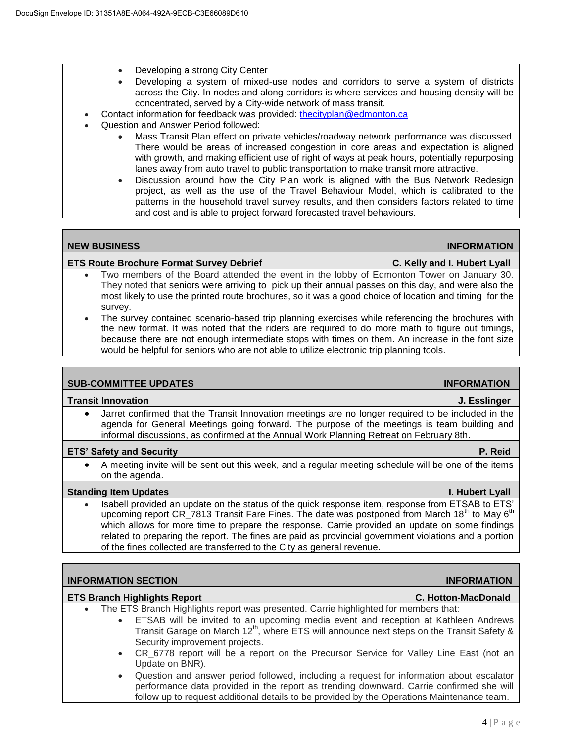- Developing a strong City Center
- Developing a system of mixed-use nodes and corridors to serve a system of districts across the City. In nodes and along corridors is where services and housing density will be concentrated, served by a City-wide network of mass transit.
- Contact information for feedback was provided: [thecityplan@edmonton.ca](mailto:thecityplan@edmonton.ca)
- Question and Answer Period followed:
	- Mass Transit Plan effect on private vehicles/roadway network performance was discussed. There would be areas of increased congestion in core areas and expectation is aligned with growth, and making efficient use of right of ways at peak hours, potentially repurposing lanes away from auto travel to public transportation to make transit more attractive.
	- Discussion around how the City Plan work is aligned with the Bus Network Redesign project, as well as the use of the Travel Behaviour Model, which is calibrated to the patterns in the household travel survey results, and then considers factors related to time and cost and is able to project forward forecasted travel behaviours.

| <b>NEW BUSINESS</b>                             | <b>INFORMATION</b>           |
|-------------------------------------------------|------------------------------|
| <b>ETS Route Brochure Format Survey Debrief</b> | C. Kelly and I. Hubert Lyall |

- Two members of the Board attended the event in the lobby of Edmonton Tower on January 30. They noted that seniors were arriving to pick up their annual passes on this day, and were also the most likely to use the printed route brochures, so it was a good choice of location and timing for the survey.
- The survey contained scenario-based trip planning exercises while referencing the brochures with the new format. It was noted that the riders are required to do more math to figure out timings, because there are not enough intermediate stops with times on them. An increase in the font size would be helpful for seniors who are not able to utilize electronic trip planning tools.

**SUB-COMMITTEE UPDATES INFORMATION** 

| <b>Transit Innovation</b>                                                                                                                                                                                                                                                                                                                                                                                                                                                                                                   | J. Esslinger               |  |
|-----------------------------------------------------------------------------------------------------------------------------------------------------------------------------------------------------------------------------------------------------------------------------------------------------------------------------------------------------------------------------------------------------------------------------------------------------------------------------------------------------------------------------|----------------------------|--|
| Jarret confirmed that the Transit Innovation meetings are no longer required to be included in the<br>$\bullet$<br>agenda for General Meetings going forward. The purpose of the meetings is team building and<br>informal discussions, as confirmed at the Annual Work Planning Retreat on February 8th.                                                                                                                                                                                                                   |                            |  |
| <b>ETS' Safety and Security</b>                                                                                                                                                                                                                                                                                                                                                                                                                                                                                             | P. Reid                    |  |
| A meeting invite will be sent out this week, and a regular meeting schedule will be one of the items<br>$\bullet$<br>on the agenda.                                                                                                                                                                                                                                                                                                                                                                                         |                            |  |
| <b>Standing Item Updates</b>                                                                                                                                                                                                                                                                                                                                                                                                                                                                                                | I. Hubert Lyall            |  |
| Isabell provided an update on the status of the quick response item, response from ETSAB to ETS'<br>$\bullet$<br>upcoming report CR_7813 Transit Fare Fines. The date was postponed from March 18 <sup>th</sup> to May 6 <sup>th</sup><br>which allows for more time to prepare the response. Carrie provided an update on some findings<br>related to preparing the report. The fines are paid as provincial government violations and a portion<br>of the fines collected are transferred to the City as general revenue. |                            |  |
|                                                                                                                                                                                                                                                                                                                                                                                                                                                                                                                             |                            |  |
| <b>INFORMATION SECTION</b><br><b>INFORMATION</b>                                                                                                                                                                                                                                                                                                                                                                                                                                                                            |                            |  |
| <b>ETS Branch Highlights Report</b>                                                                                                                                                                                                                                                                                                                                                                                                                                                                                         | <b>C. Hotton-MacDonald</b> |  |
| $\tau$ k a $\tau$ TTO Dagarak Hitaklisko ugu zatu za maga sata di Ogasia kitaklisko difensor zaok zazibat.                                                                                                                                                                                                                                                                                                                                                                                                                  |                            |  |

The ETS Branch Highlights report was presented. Carrie highlighted for members that:

- ETSAB will be invited to an upcoming media event and reception at Kathleen Andrews Transit Garage on March 12<sup>th</sup>, where ETS will announce next steps on the Transit Safety & Security improvement projects.
- CR 6778 report will be a report on the Precursor Service for Valley Line East (not an Update on BNR).
- Question and answer period followed, including a request for information about escalator performance data provided in the report as trending downward. Carrie confirmed she will follow up to request additional details to be provided by the Operations Maintenance team.